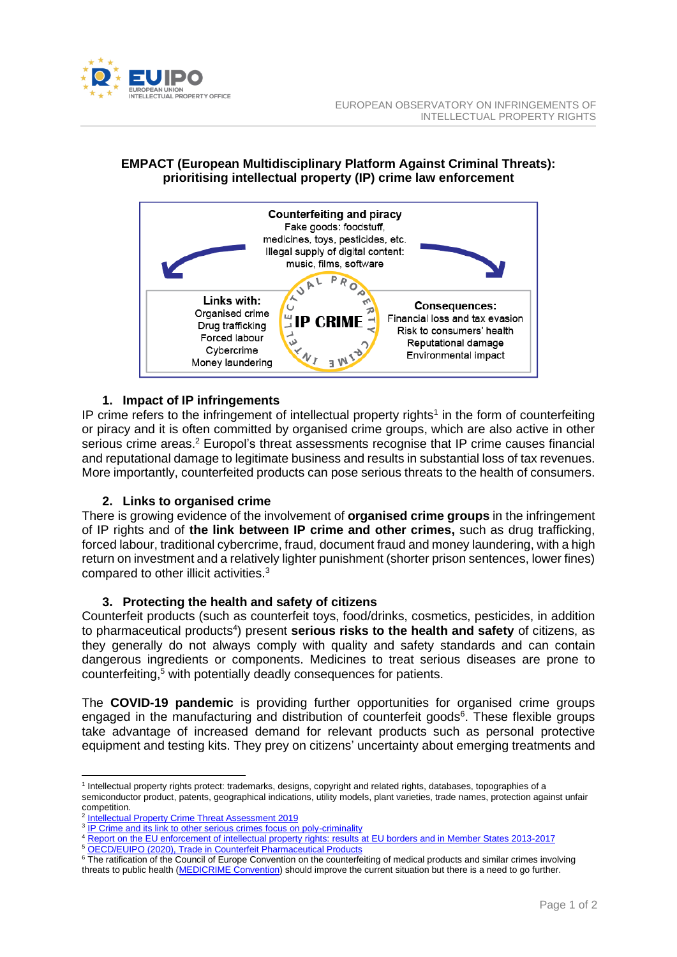

# **EMPACT (European Multidisciplinary Platform Against Criminal Threats): prioritising intellectual property (IP) crime law enforcement**



## **1. Impact of IP infringements**

IP crime refers to the infringement of intellectual property rights<sup>1</sup> in the form of counterfeiting or piracy and it is often committed by organised crime groups, which are also active in other serious crime areas.<sup>2</sup> Europol's threat assessments recognise that IP crime causes financial and reputational damage to legitimate business and results in substantial loss of tax revenues. More importantly, counterfeited products can pose serious threats to the health of consumers.

## **2. Links to organised crime**

There is growing evidence of the involvement of **organised crime groups** in the infringement of IP rights and of **the link between IP crime and other crimes,** such as drug trafficking, forced labour, traditional cybercrime, fraud, document fraud and money laundering, with a high return on investment and a relatively lighter punishment (shorter prison sentences, lower fines) compared to other illicit activities.<sup>3</sup>

## **3. Protecting the health and safety of citizens**

Counterfeit products (such as counterfeit toys, food/drinks, cosmetics, pesticides, in addition to pharmaceutical products<sup>4</sup>) present **serious risks to the health and safety** of citizens, as they generally do not always comply with quality and safety standards and can contain dangerous ingredients or components. Medicines to treat serious diseases are prone to counterfeiting, <sup>5</sup> with potentially deadly consequences for patients.

The **COVID-19 pandemic** is providing further opportunities for organised crime groups engaged in the manufacturing and distribution of counterfeit goods<sup>6</sup>. These flexible groups take advantage of increased demand for relevant products such as personal protective equipment and testing kits. They prey on citizens' uncertainty about emerging treatments and

<sup>5</sup> [OECD/EUIPO \(2020\), Trade in Counterfeit Pharmaceutical Products](https://euipo.europa.eu/ohimportal/en/web/observatory/trade-in-counterfeit-pharmaceutical-products)

<sup>1</sup> Intellectual property rights protect: trademarks, designs, copyright and related rights, databases, topographies of a semiconductor product, patents, geographical indications, utility models, plant varieties, trade names, protection against unfair competition.

<sup>&</sup>lt;sup>2</sup> [Intellectual Property Crime Threat Assessment 2019](https://euipo.europa.eu/tunnel-web/secure/webdav/guest/document_library/observatory/documents/reports/2019_IP_Crime_Threat_Assessment_Report/2019_IP_Crime_Threat_Assessment_Report.pdf)

<sup>&</sup>lt;sup>3</sup> [IP Crime and its link to other serious crimes focus on poly-criminality](https://euipo.europa.eu/tunnel-web/secure/webdav/guest/document_library/observatory/documents/reports/2020_IP_crime_and_its_link_to_other_serious_crimes/2020_IP_crime_and_its_link_to_other_serious_crimes_Full.pdf)

<sup>4</sup> [Report on the EU enforcement of intellectual property rights: results at EU borders and in Member States 2013-2017](https://euipo.europa.eu/tunnel-web/secure/webdav/guest/document_library/observatory/documents/reports/2019_Report_on_Enforcement_of_IPR_at_EU_borders_and_in_MS_2013_2017/2019_Report_on_enforcement_of_IPR_at_EU_borders_and_in_MS_2013_2017_Full_en.pdf)

<sup>&</sup>lt;sup>6</sup> The ratification of the Council of Europe Convention on the counterfeiting of medical products and similar crimes involving threats to public health [\(MEDICRIME Convention\)](https://www.coe.int/en/web/conventions/full-list/-/conventions/treaty/211) should improve the current situation but there is a need to go further.